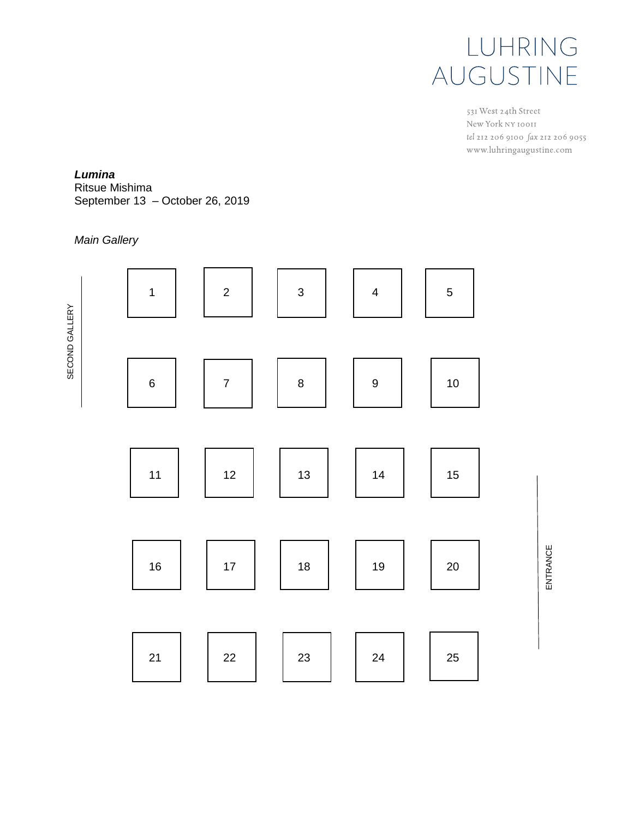

531 West 24th Street New York NY 10011 tel 212 206 9100 fax 212 206 9055 www.luhringaugustine.com

### *Lumina*

Ritsue Mishima September 13 – October 26, 2019

## *Main Gallery*



ENTRANCE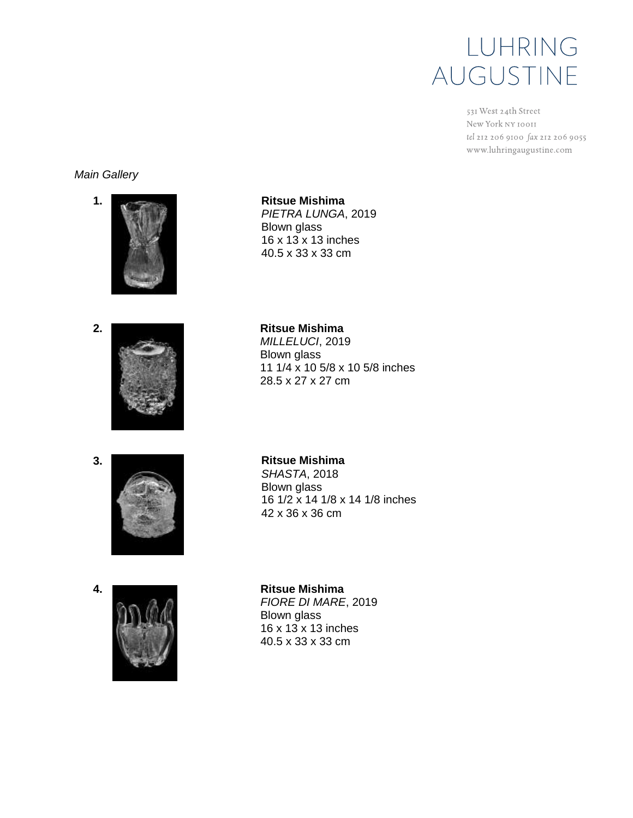531 West 24th Street New York NY 10011 tel 212 206 9100 fax 212 206 9055 www.luhringaugustine.com

### *Main Gallery*



**1. Ritsue Mishima** *PIETRA LUNGA*, 2019 Blown glass 16 x 13 x 13 inches 40.5 x 33 x 33 cm



*MILLELUCI*, 2019 Blown glass 11 1/4 x 10 5/8 x 10 5/8 inches 28.5 x 27 x 27 cm



*SHASTA*, 2018 Blown glass 16 1/2 x 14 1/8 x 14 1/8 inches 42 x 36 x 36 cm



*FIORE DI MARE*, 2019 Blown glass 16 x 13 x 13 inches 40.5 x 33 x 33 cm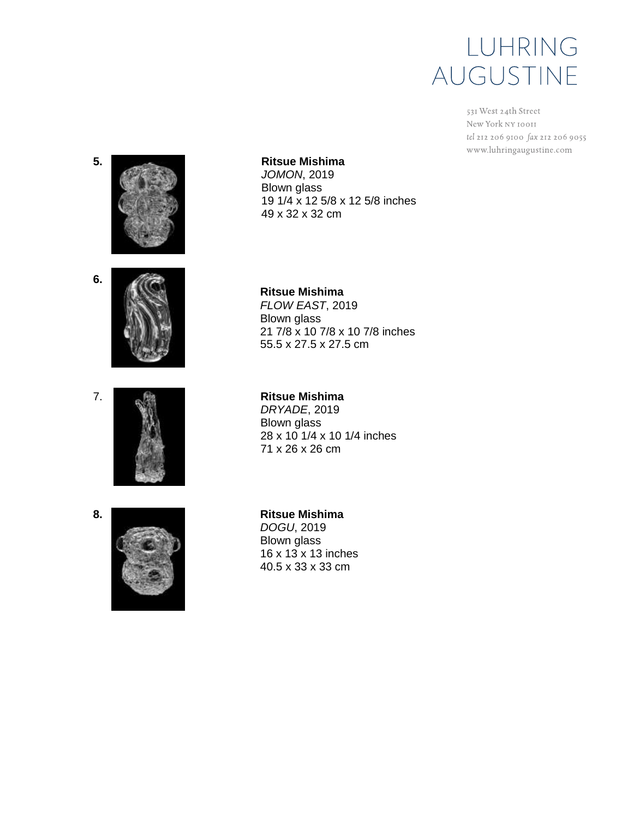531 West 24th Street New York NY 10011 tel 212 206 9100 fax 212 206 9055 www.luhringaugustine.com









### **Ritsue Mishima**

*JOMON*, 2019 Blown glass 19 1/4 x 12 5/8 x 12 5/8 inches 49 x 32 x 32 cm

**Ritsue Mishima** *FLOW EAST*, 2019 Blown glass 21 7/8 x 10 7/8 x 10 7/8 inches 55.5 x 27.5 x 27.5 cm

### **Ritsue Mishima**

*DRYADE*, 2019 Blown glass 28 x 10 1/4 x 10 1/4 inches 71 x 26 x 26 cm

**Ritsue Mishima** *DOGU*, 2019 Blown glass 16 x 13 x 13 inches 40.5 x 33 x 33 cm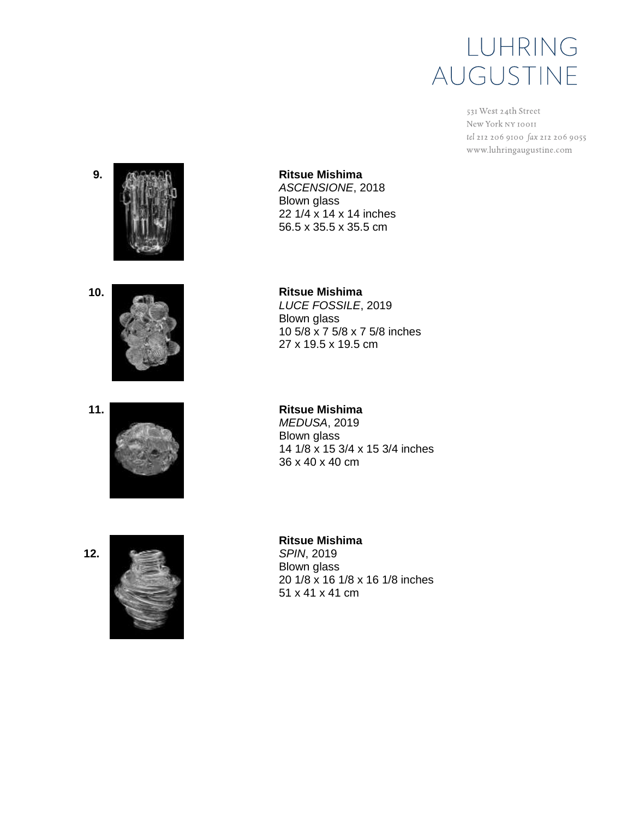531 West 24th Street New York NY 10011 tel 212 206 9100 fax 212 206 9055 www.luhringaugustine.com







**Ritsue Mishima** *ASCENSIONE*, 2018 Blown glass 22 1/4 x 14 x 14 inches 56.5 x 35.5 x 35.5 cm

**Ritsue Mishima** *LUCE FOSSILE*, 2019 Blown glass 10 5/8 x 7 5/8 x 7 5/8 inches 27 x 19.5 x 19.5 cm

**Ritsue Mishima** *MEDUSA*, 2019 Blown glass 14 1/8 x 15 3/4 x 15 3/4 inches 36 x 40 x 40 cm



## **Ritsue Mishima**

*SPIN*, 2019 Blown glass 20 1/8 x 16 1/8 x 16 1/8 inches 51 x 41 x 41 cm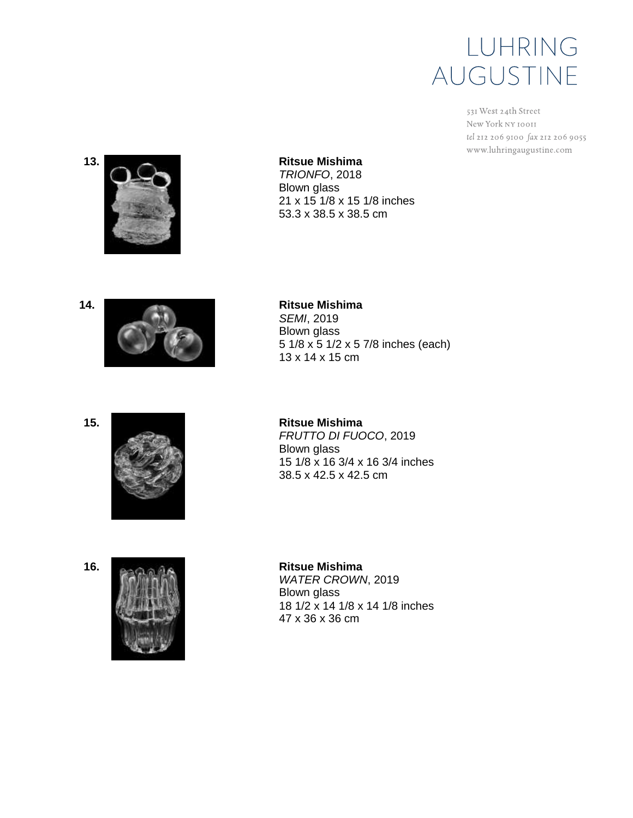531 West 24th Street New York NY 10011 tel 212 206 9100 fax 212 206 9055 www.luhringaugustine.com



**Ritsue Mishima** *TRIONFO*, 2018 Blown glass 21 x 15 1/8 x 15 1/8 inches 53.3 x 38.5 x 38.5 cm

**Ritsue Mishima** *SEMI*, 2019





**15.**



Blown glass 5 1/8 x 5 1/2 x 5 7/8 inches (each) 13 x 14 x 15 cm

**Ritsue Mishima** *FRUTTO DI FUOCO*, 2019 Blown glass 15 1/8 x 16 3/4 x 16 3/4 inches 38.5 x 42.5 x 42.5 cm



**Ritsue Mishima** *WATER CROWN*, 2019 Blown glass 18 1/2 x 14 1/8 x 14 1/8 inches 47 x 36 x 36 cm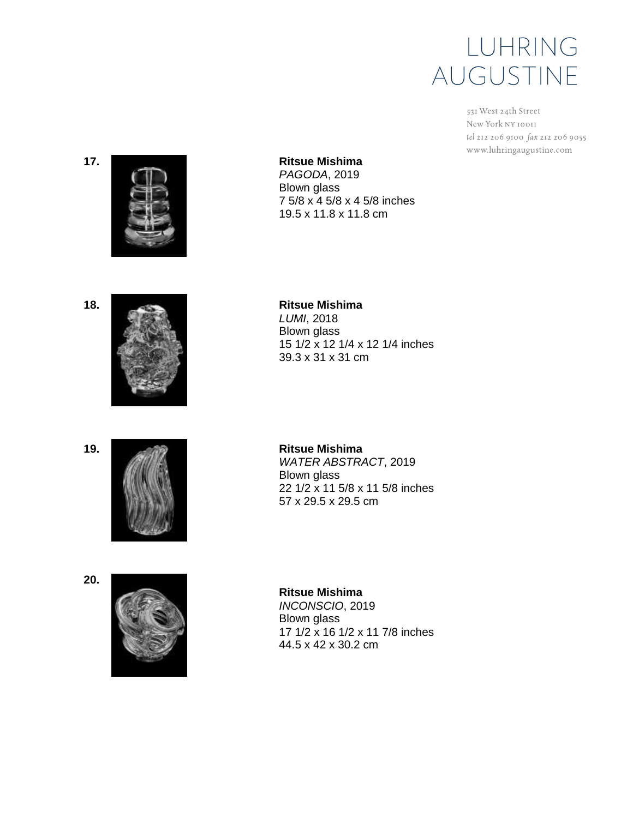531 West 24th Street New York NY 10011 tel 212 206 9100 fax 212 206 9055 www.luhringaugustine.com

**17.**



### **Ritsue Mishima**

*PAGODA*, 2019 Blown glass 7 5/8 x 4 5/8 x 4 5/8 inches 19.5 x 11.8 x 11.8 cm

**18.**



**Ritsue Mishima** *LUMI*, 2018 Blown glass 15 1/2 x 12 1/4 x 12 1/4 inches 39.3 x 31 x 31 cm

**19.**



**20.**



**Ritsue Mishima** *WATER ABSTRACT*, 2019 Blown glass 22 1/2 x 11 5/8 x 11 5/8 inches 57 x 29.5 x 29.5 cm

**Ritsue Mishima** *INCONSCIO*, 2019 Blown glass 17 1/2 x 16 1/2 x 11 7/8 inches 44.5 x 42 x 30.2 cm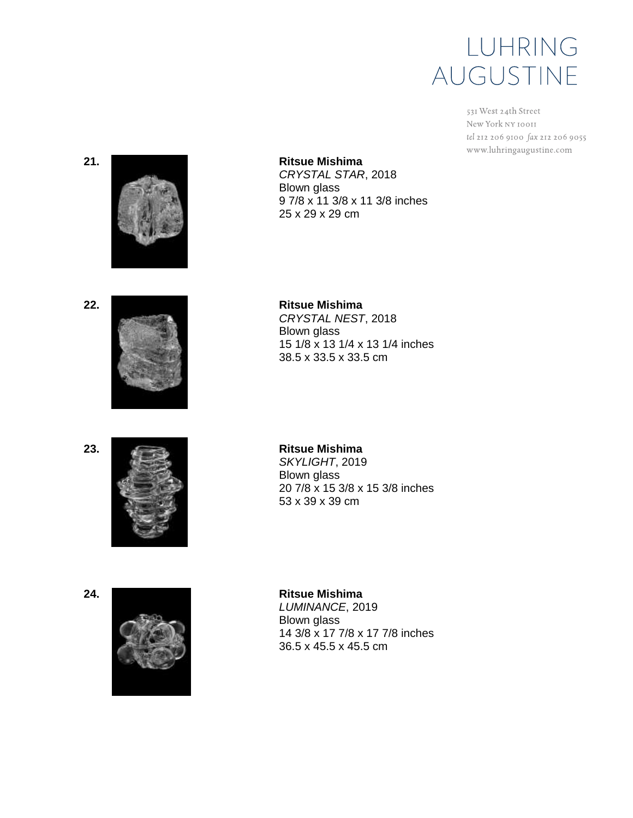531 West 24th Street New York NY 10011 tel 212 206 9100 fax 212 206 9055 www.luhringaugustine.com

#### **21.**



**Ritsue Mishima** *CRYSTAL STAR*, 2018 Blown glass 9 7/8 x 11 3/8 x 11 3/8 inches 25 x 29 x 29 cm





**Ritsue Mishima** *CRYSTAL NEST*, 2018 Blown glass 15 1/8 x 13 1/4 x 13 1/4 inches 38.5 x 33.5 x 33.5 cm

**23.**



**Ritsue Mishima** *SKYLIGHT*, 2019 Blown glass 20 7/8 x 15 3/8 x 15 3/8 inches 53 x 39 x 39 cm



**24. Ritsue Mishima** *LUMINANCE*, 2019 Blown glass 14 3/8 x 17 7/8 x 17 7/8 inches 36.5 x 45.5 x 45.5 cm